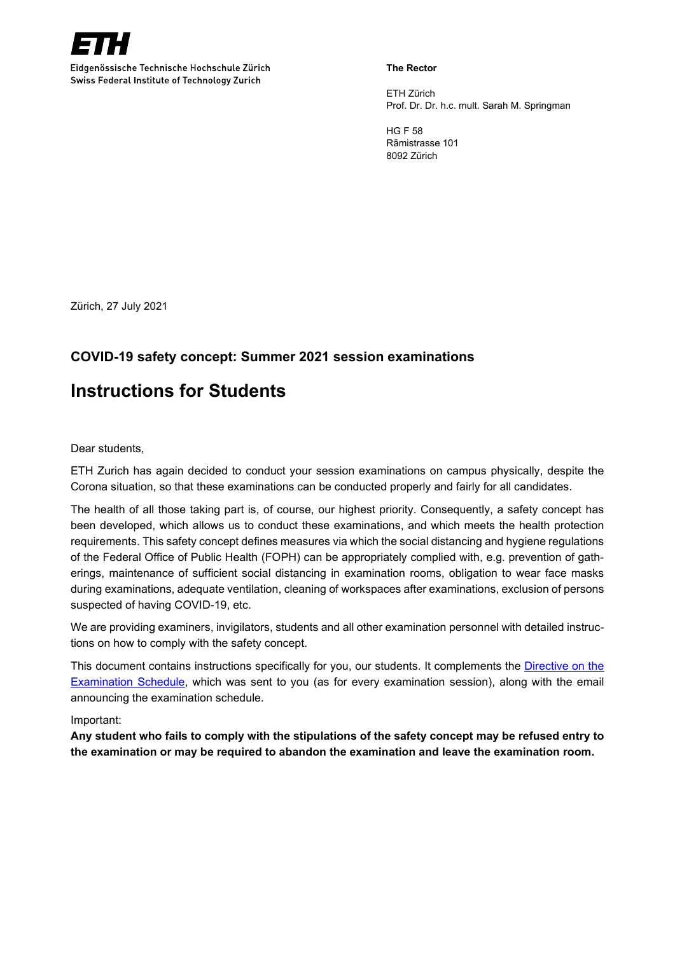

Eidgenössische Technische Hochschule Zürich Swiss Federal Institute of Technology Zurich

#### **The Rector**

ETH Zürich Prof. Dr. Dr. h.c. mult. Sarah M. Springman

HG F 58 Rämistrasse 101 8092 Zürich

Zürich, 27 July 2021

## **COVID-19 safety concept: Summer 2021 session examinations**

# **Instructions for Students**

Dear students,

ETH Zurich has again decided to conduct your session examinations on campus physically, despite the Corona situation, so that these examinations can be conducted properly and fairly for all candidates.

The health of all those taking part is, of course, our highest priority. Consequently, a safety concept has been developed, which allows us to conduct these examinations, and which meets the health protection requirements. This safety concept defines measures via which the social distancing and hygiene regulations of the Federal Office of Public Health (FOPH) can be appropriately complied with, e.g. prevention of gatherings, maintenance of sufficient social distancing in examination rooms, obligation to wear face masks during examinations, adequate ventilation, cleaning of workspaces after examinations, exclusion of persons suspected of having COVID-19, etc.

We are providing examiners, invigilators, students and all other examination personnel with detailed instructions on how to comply with the safety concept.

This document contains instructions specifically for you, our students. It complements the [Directive on the](https://ethz.ch/content/dam/ethz/common/docs/weisungssammlung/files-en/regulations-examination-schedule.pdf)  [Examination](https://ethz.ch/content/dam/ethz/common/docs/weisungssammlung/files-en/regulations-examination-schedule.pdf) Schedule, which was sent to you (as for every examination session), along with the email announcing the examination schedule.

Important:

**Any student who fails to comply with the stipulations of the safety concept may be refused entry to the examination or may be required to abandon the examination and leave the examination room.**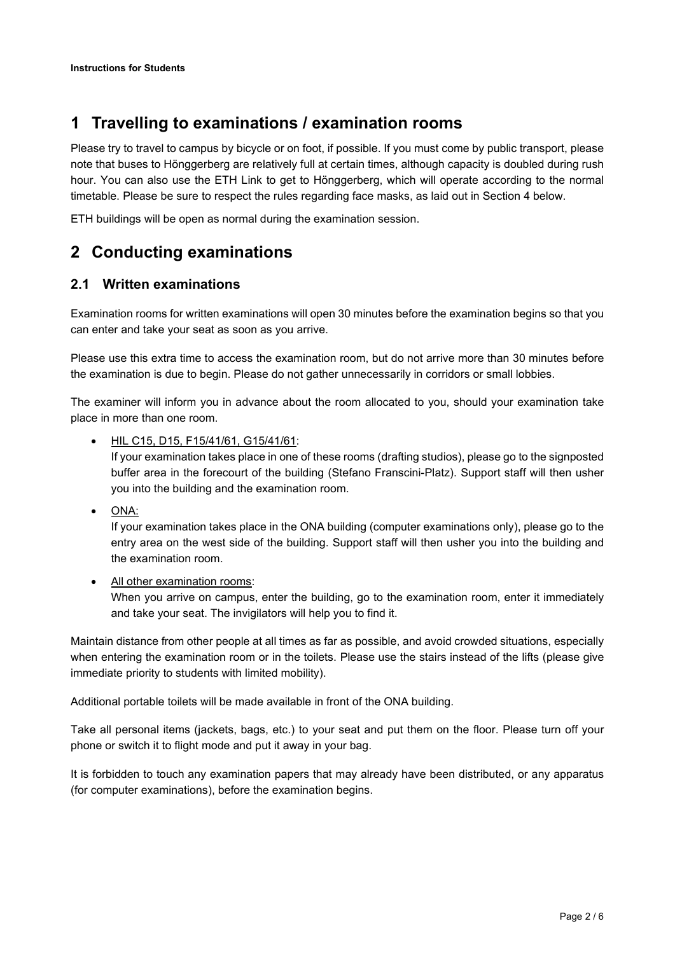# **1 Travelling to examinations / examination rooms**

Please try to travel to campus by bicycle or on foot, if possible. If you must come by public transport, please note that buses to Hönggerberg are relatively full at certain times, although capacity is doubled during rush hour. You can also use the ETH Link to get to Hönggerberg, which will operate according to the normal timetable. Please be sure to respect the rules regarding face masks, as laid out in Section [4](#page-2-0) below.

ETH buildings will be open as normal during the examination session.

# **2 Conducting examinations**

### **2.1 Written examinations**

Examination rooms for written examinations will open 30 minutes before the examination begins so that you can enter and take your seat as soon as you arrive.

Please use this extra time to access the examination room, but do not arrive more than 30 minutes before the examination is due to begin. Please do not gather unnecessarily in corridors or small lobbies.

The examiner will inform you in advance about the room allocated to you, should your examination take place in more than one room.

• HIL C15, D15, F15/41/61, G15/41/61:

If your examination takes place in one of these rooms (drafting studios), please go to the signposted buffer area in the forecourt of the building (Stefano Franscini-Platz). Support staff will then usher you into the building and the examination room.

• ONA:

If your examination takes place in the ONA building (computer examinations only), please go to the entry area on the west side of the building. Support staff will then usher you into the building and the examination room.

• All other examination rooms: When you arrive on campus, enter the building, go to the examination room, enter it immediately and take your seat. The invigilators will help you to find it.

Maintain distance from other people at all times as far as possible, and avoid crowded situations, especially when entering the examination room or in the toilets. Please use the stairs instead of the lifts (please give immediate priority to students with limited mobility).

Additional portable toilets will be made available in front of the ONA building.

Take all personal items (jackets, bags, etc.) to your seat and put them on the floor. Please turn off your phone or switch it to flight mode and put it away in your bag.

It is forbidden to touch any examination papers that may already have been distributed, or any apparatus (for computer examinations), before the examination begins.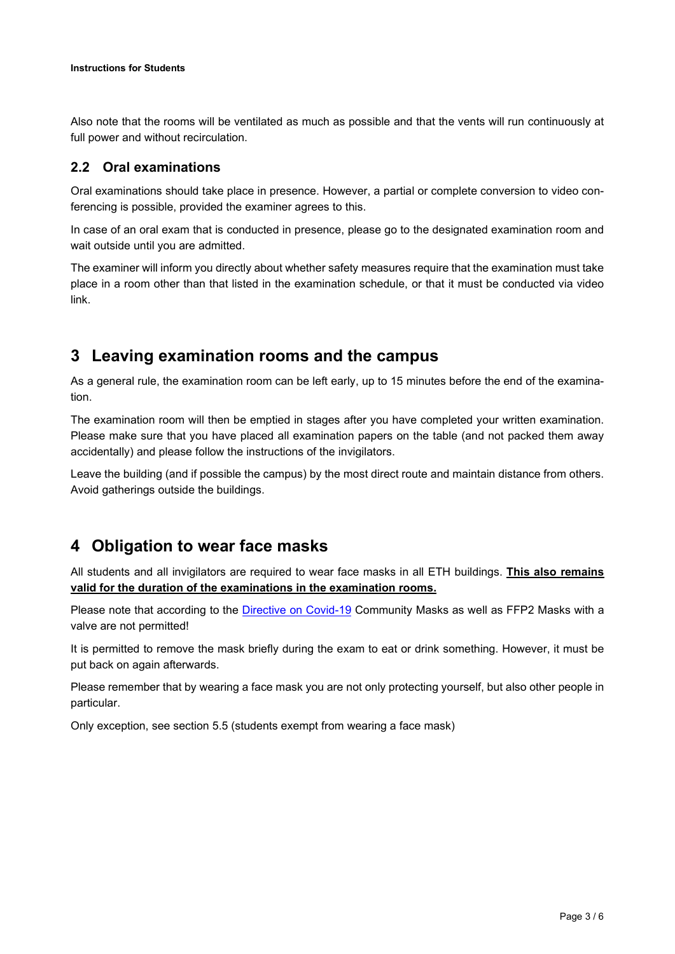Also note that the rooms will be ventilated as much as possible and that the vents will run continuously at full power and without recirculation.

#### <span id="page-2-1"></span>**2.2 Oral examinations**

Oral examinations should take place in presence. However, a partial or complete conversion to video conferencing is possible, provided the examiner agrees to this.

In case of an oral exam that is conducted in presence, please go to the designated examination room and wait outside until you are admitted.

The examiner will inform you directly about whether safety measures require that the examination must take place in a room other than that listed in the examination schedule, or that it must be conducted via video link.

## **3 Leaving examination rooms and the campus**

As a general rule, the examination room can be left early, up to 15 minutes before the end of the examination.

The examination room will then be emptied in stages after you have completed your written examination. Please make sure that you have placed all examination papers on the table (and not packed them away accidentally) and please follow the instructions of the invigilators.

Leave the building (and if possible the campus) by the most direct route and maintain distance from others. Avoid gatherings outside the buildings.

## <span id="page-2-0"></span>**4 Obligation to wear face masks**

All students and all invigilators are required to wear face masks in all ETH buildings. **This also remains valid for the duration of the examinations in the examination rooms.**

Please note that according to the [Directive on Covid-19](https://ethz.ch/content/dam/ethz/common/docs/weisungssammlung/files-en/coronavirus-pandemic-with-regard-to-teaching-hs20-fs21.pdf) Community Masks as well as FFP2 Masks with a valve are not permitted!

It is permitted to remove the mask briefly during the exam to eat or drink something. However, it must be put back on again afterwards.

Please remember that by wearing a face mask you are not only protecting yourself, but also other people in particular.

Only exception, see section [5.5](#page-5-0) (students exempt from wearing a face mask)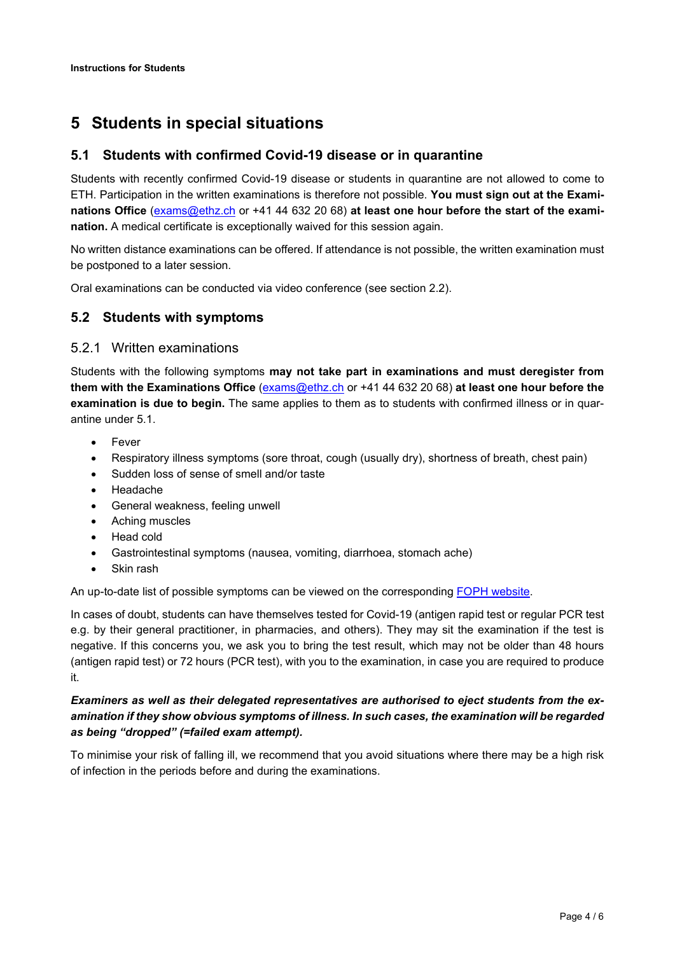# **5 Students in special situations**

#### <span id="page-3-0"></span>**5.1 Students with confirmed Covid-19 disease or in quarantine**

Students with recently confirmed Covid-19 disease or students in quarantine are not allowed to come to ETH. Participation in the written examinations is therefore not possible. **You must sign out at the Examinations Office** [\(exams@ethz.ch](mailto:exams@ethz.ch) or +41 44 632 20 68) **at least one hour before the start of the examination.** A medical certificate is exceptionally waived for this session again.

No written distance examinations can be offered. If attendance is not possible, the written examination must be postponed to a later session.

Oral examinations can be conducted via video conference (see section [2.2\)](#page-2-1).

#### <span id="page-3-1"></span>**5.2 Students with symptoms**

#### 5.2.1 Written examinations

Students with the following symptoms **may not take part in examinations and must deregister from them with the Examinations Office** [\(exams@ethz.ch](mailto:exams@ethz.ch) or +41 44 632 20 68) **at least one hour before the examination is due to begin.** The same applies to them as to students with confirmed illness or in quarantine under [5.1.](#page-3-0)

- **Fever**
- Respiratory illness symptoms (sore throat, cough (usually dry), shortness of breath, chest pain)
- Sudden loss of sense of smell and/or taste
- Headache
- General weakness, feeling unwell
- Aching muscles
- Head cold
- Gastrointestinal symptoms (nausea, vomiting, diarrhoea, stomach ache)
- Skin rash

An up-to-date list of possible symptoms can be viewed on the corresponding [FOPH website.](https://www.bag.admin.ch/bag/en/home/krankheiten/ausbrueche-epidemien-pandemien/aktuelle-ausbrueche-epidemien/novel-cov/krankheit-symptome-behandlung-ursprung.html)

In cases of doubt, students can have themselves tested for Covid-19 (antigen rapid test or regular PCR test e.g. by their general practitioner, in pharmacies, and others). They may sit the examination if the test is negative. If this concerns you, we ask you to bring the test result, which may not be older than 48 hours (antigen rapid test) or 72 hours (PCR test), with you to the examination, in case you are required to produce it.

#### *Examiners as well as their delegated representatives are authorised to eject students from the examination if they show obvious symptoms of illness. In such cases, the examination will be regarded as being "dropped" (=failed exam attempt).*

To minimise your risk of falling ill, we recommend that you avoid situations where there may be a high risk of infection in the periods before and during the examinations.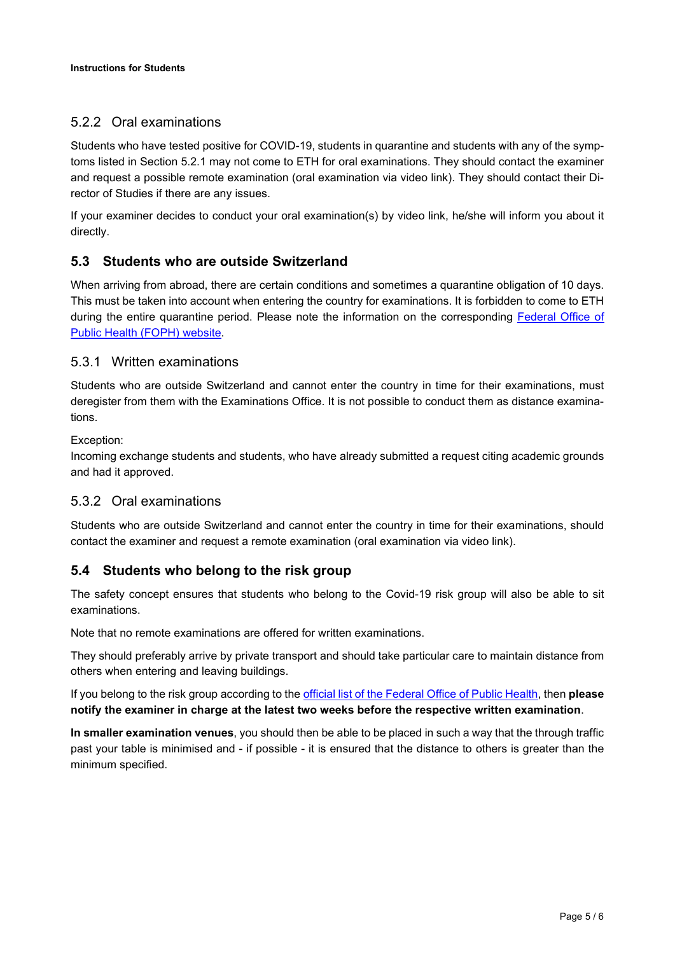## 5.2.2 Oral examinations

Students who have tested positive for COVID-19, students in quarantine and students with any of the symptoms listed in Section [5.2.1](#page-3-1) may not come to ETH for oral examinations. They should contact the examiner and request a possible remote examination (oral examination via video link). They should contact their Director of Studies if there are any issues.

If your examiner decides to conduct your oral examination(s) by video link, he/she will inform you about it directly.

### **5.3 Students who are outside Switzerland**

When arriving from abroad, there are certain conditions and sometimes a quarantine obligation of 10 days. This must be taken into account when entering the country for examinations. It is forbidden to come to ETH during the entire quarantine period. Please note the information on the corresponding [Federal Office of](https://www.bag.admin.ch/bag/en/home/krankheiten/ausbrueche-epidemien-pandemien/aktuelle-ausbrueche-epidemien/novel-cov/empfehlungen-fuer-reisende/quarantaene-einreisende.html)  [Public Health \(FOPH\) website.](https://www.bag.admin.ch/bag/en/home/krankheiten/ausbrueche-epidemien-pandemien/aktuelle-ausbrueche-epidemien/novel-cov/empfehlungen-fuer-reisende/quarantaene-einreisende.html)

#### 5.3.1 Written examinations

Students who are outside Switzerland and cannot enter the country in time for their examinations, must deregister from them with the Examinations Office. It is not possible to conduct them as distance examinations.

#### Exception:

Incoming exchange students and students, who have already submitted a request citing academic grounds and had it approved.

#### 5.3.2 Oral examinations

Students who are outside Switzerland and cannot enter the country in time for their examinations, should contact the examiner and request a remote examination (oral examination via video link).

### **5.4 Students who belong to the risk group**

The safety concept ensures that students who belong to the Covid-19 risk group will also be able to sit examinations.

Note that no remote examinations are offered for written examinations.

They should preferably arrive by private transport and should take particular care to maintain distance from others when entering and leaving buildings.

If you belong to the risk group according to the [official list of the Federal Office of Public Health,](https://www.bag.admin.ch/bag/en/home/krankheiten/ausbrueche-epidemien-pandemien/aktuelle-ausbrueche-epidemien/novel-cov/krankheit-symptome-behandlung-ursprung/besonders-gefaehrdete-menschen.html) then **please notify the examiner in charge at the latest two weeks before the respective written examination**.

**In smaller examination venues**, you should then be able to be placed in such a way that the through traffic past your table is minimised and - if possible - it is ensured that the distance to others is greater than the minimum specified.